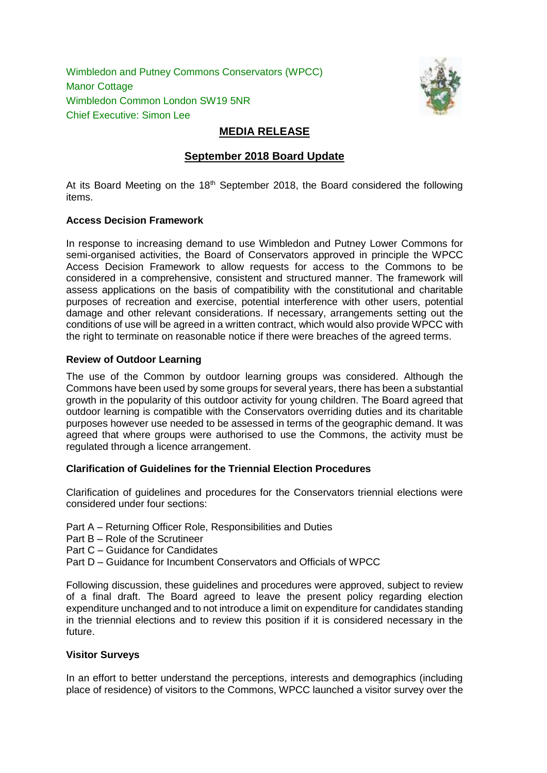Wimbledon and Putney Commons Conservators (WPCC) Manor Cottage Wimbledon Common London SW19 5NR Chief Executive: Simon Lee



# **MEDIA RELEASE**

# **September 2018 Board Update**

At its Board Meeting on the 18<sup>th</sup> September 2018, the Board considered the following items.

### **Access Decision Framework**

In response to increasing demand to use Wimbledon and Putney Lower Commons for semi-organised activities, the Board of Conservators approved in principle the WPCC Access Decision Framework to allow requests for access to the Commons to be considered in a comprehensive, consistent and structured manner. The framework will assess applications on the basis of compatibility with the constitutional and charitable purposes of recreation and exercise, potential interference with other users, potential damage and other relevant considerations. If necessary, arrangements setting out the conditions of use will be agreed in a written contract, which would also provide WPCC with the right to terminate on reasonable notice if there were breaches of the agreed terms.

### **Review of Outdoor Learning**

The use of the Common by outdoor learning groups was considered. Although the Commons have been used by some groups for several years, there has been a substantial growth in the popularity of this outdoor activity for young children. The Board agreed that outdoor learning is compatible with the Conservators overriding duties and its charitable purposes however use needed to be assessed in terms of the geographic demand. It was agreed that where groups were authorised to use the Commons, the activity must be regulated through a licence arrangement.

## **Clarification of Guidelines for the Triennial Election Procedures**

Clarification of guidelines and procedures for the Conservators triennial elections were considered under four sections:

- Part A Returning Officer Role, Responsibilities and Duties
- Part B Role of the Scrutineer
- Part C Guidance for Candidates
- Part D Guidance for Incumbent Conservators and Officials of WPCC

Following discussion, these guidelines and procedures were approved, subject to review of a final draft. The Board agreed to leave the present policy regarding election expenditure unchanged and to not introduce a limit on expenditure for candidates standing in the triennial elections and to review this position if it is considered necessary in the future.

### **Visitor Surveys**

In an effort to better understand the perceptions, interests and demographics (including place of residence) of visitors to the Commons, WPCC launched a visitor survey over the